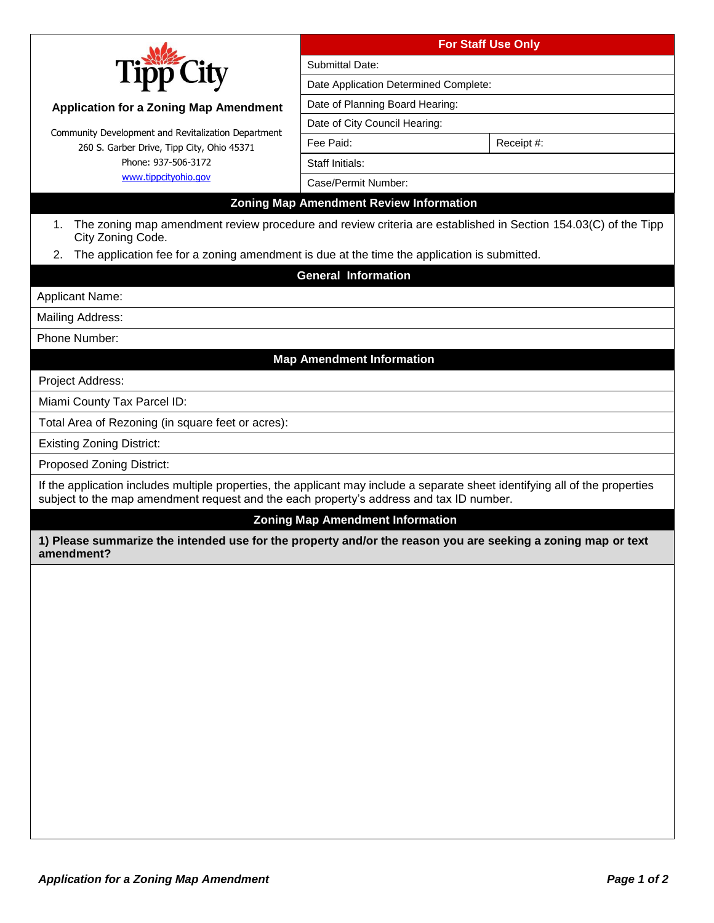|                                                                                                                                                                                                                          | <b>For Staff Use Only</b>                      |                                                                                                                |  |
|--------------------------------------------------------------------------------------------------------------------------------------------------------------------------------------------------------------------------|------------------------------------------------|----------------------------------------------------------------------------------------------------------------|--|
| Tipr                                                                                                                                                                                                                     | Submittal Date:                                |                                                                                                                |  |
|                                                                                                                                                                                                                          | Date Application Determined Complete:          |                                                                                                                |  |
| <b>Application for a Zoning Map Amendment</b>                                                                                                                                                                            | Date of Planning Board Hearing:                |                                                                                                                |  |
|                                                                                                                                                                                                                          | Date of City Council Hearing:                  |                                                                                                                |  |
| Community Development and Revitalization Department<br>260 S. Garber Drive, Tipp City, Ohio 45371                                                                                                                        | Fee Paid:                                      | Receipt #:                                                                                                     |  |
| Phone: 937-506-3172                                                                                                                                                                                                      | <b>Staff Initials:</b>                         |                                                                                                                |  |
| www.tippcityohio.gov                                                                                                                                                                                                     | Case/Permit Number:                            |                                                                                                                |  |
|                                                                                                                                                                                                                          | <b>Zoning Map Amendment Review Information</b> |                                                                                                                |  |
| 1.<br>City Zoning Code.                                                                                                                                                                                                  |                                                | The zoning map amendment review procedure and review criteria are established in Section 154.03(C) of the Tipp |  |
| The application fee for a zoning amendment is due at the time the application is submitted.<br>2.                                                                                                                        |                                                |                                                                                                                |  |
|                                                                                                                                                                                                                          | <b>General Information</b>                     |                                                                                                                |  |
| Applicant Name:                                                                                                                                                                                                          |                                                |                                                                                                                |  |
| Mailing Address:                                                                                                                                                                                                         |                                                |                                                                                                                |  |
| Phone Number:                                                                                                                                                                                                            |                                                |                                                                                                                |  |
|                                                                                                                                                                                                                          | <b>Map Amendment Information</b>               |                                                                                                                |  |
| Project Address:                                                                                                                                                                                                         |                                                |                                                                                                                |  |
| Miami County Tax Parcel ID:                                                                                                                                                                                              |                                                |                                                                                                                |  |
| Total Area of Rezoning (in square feet or acres):                                                                                                                                                                        |                                                |                                                                                                                |  |
| <b>Existing Zoning District:</b>                                                                                                                                                                                         |                                                |                                                                                                                |  |
| <b>Proposed Zoning District:</b>                                                                                                                                                                                         |                                                |                                                                                                                |  |
| If the application includes multiple properties, the applicant may include a separate sheet identifying all of the properties<br>subject to the map amendment request and the each property's address and tax ID number. |                                                |                                                                                                                |  |
|                                                                                                                                                                                                                          | <b>Zoning Map Amendment Information</b>        |                                                                                                                |  |
| 1) Please summarize the intended use for the property and/or the reason you are seeking a zoning map or text<br>amendment?                                                                                               |                                                |                                                                                                                |  |
|                                                                                                                                                                                                                          |                                                |                                                                                                                |  |